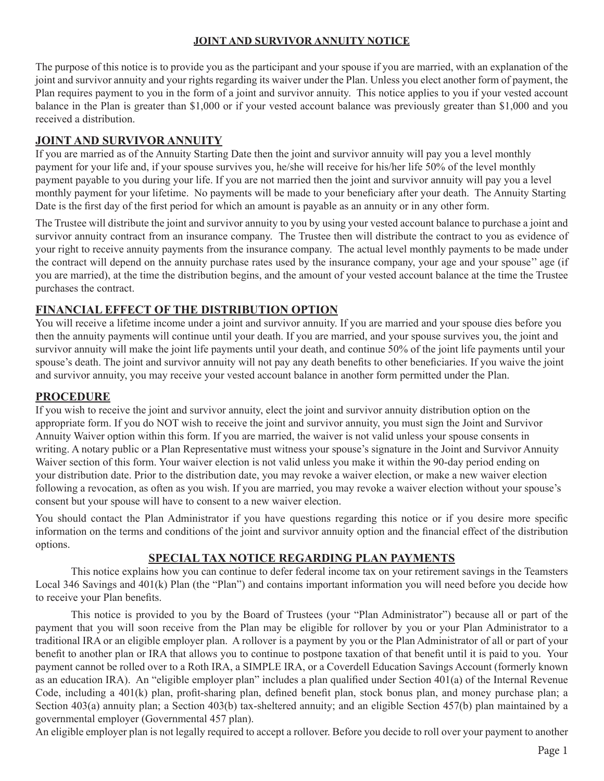### **JOINT AND SURVIVOR ANNUITY NOTICE**

The purpose of this notice is to provide you as the participant and your spouse if you are married, with an explanation of the joint and survivor annuity and your rights regarding its waiver under the Plan. Unless you elect another form of payment, the Plan requires payment to you in the form of a joint and survivor annuity. This notice applies to you if your vested account balance in the Plan is greater than \$1,000 or if your vested account balance was previously greater than \$1,000 and you received a distribution.

# **JOINT AND SURVIVOR ANNUITY**

If you are married as of the Annuity Starting Date then the joint and survivor annuity will pay you a level monthly payment for your life and, if your spouse survives you, he/she will receive for his/her life 50% of the level monthly payment payable to you during your life. If you are not married then the joint and survivor annuity will pay you a level monthly payment for your lifetime. No payments will be made to your beneficiary after your death. The Annuity Starting Date is the first day of the first period for which an amount is payable as an annuity or in any other form.

The Trustee will distribute the joint and survivor annuity to you by using your vested account balance to purchase a joint and survivor annuity contract from an insurance company. The Trustee then will distribute the contract to you as evidence of your right to receive annuity payments from the insurance company. The actual level monthly payments to be made under the contract will depend on the annuity purchase rates used by the insurance company, your age and your spouse'' age (if you are married), at the time the distribution begins, and the amount of your vested account balance at the time the Trustee purchases the contract.

# **FINANCIAL EFFECT OF THE DISTRIBUTION OPTION**

You will receive a lifetime income under a joint and survivor annuity. If you are married and your spouse dies before you then the annuity payments will continue until your death. If you are married, and your spouse survives you, the joint and survivor annuity will make the joint life payments until your death, and continue 50% of the joint life payments until your spouse's death. The joint and survivor annuity will not pay any death benefits to other beneficiaries. If you waive the joint and survivor annuity, you may receive your vested account balance in another form permitted under the Plan.

### **PROCEDURE**

If you wish to receive the joint and survivor annuity, elect the joint and survivor annuity distribution option on the appropriate form. If you do NOT wish to receive the joint and survivor annuity, you must sign the Joint and Survivor Annuity Waiver option within this form. If you are married, the waiver is not valid unless your spouse consents in writing. A notary public or a Plan Representative must witness your spouse's signature in the Joint and Survivor Annuity Waiver section of this form. Your waiver election is not valid unless you make it within the 90-day period ending on your distribution date. Prior to the distribution date, you may revoke a waiver election, or make a new waiver election following a revocation, as often as you wish. If you are married, you may revoke a waiver election without your spouse's consent but your spouse will have to consent to a new waiver election.

You should contact the Plan Administrator if you have questions regarding this notice or if you desire more specific information on the terms and conditions of the joint and survivor annuity option and the financial effect of the distribution options.

## **SPECIAL TAX NOTICE REGARDING PLAN PAYMENTS**

This notice explains how you can continue to defer federal income tax on your retirement savings in the Teamsters Local 346 Savings and 401(k) Plan (the "Plan") and contains important information you will need before you decide how to receive your Plan benefits.

This notice is provided to you by the Board of Trustees (your "Plan Administrator") because all or part of the payment that you will soon receive from the Plan may be eligible for rollover by you or your Plan Administrator to a traditional IRA or an eligible employer plan. A rollover is a payment by you or the Plan Administrator of all or part of your benefit to another plan or IRA that allows you to continue to postpone taxation of that benefit until it is paid to you. Your payment cannot be rolled over to a Roth IRA, a SIMPLE IRA, or a Coverdell Education Savings Account (formerly known as an education IRA). An "eligible employer plan" includes a plan qualified under Section 401(a) of the Internal Revenue Code, including a 401(k) plan, profit-sharing plan, defined benefit plan, stock bonus plan, and money purchase plan; a Section 403(a) annuity plan; a Section 403(b) tax-sheltered annuity; and an eligible Section 457(b) plan maintained by a governmental employer (Governmental 457 plan).

An eligible employer plan is not legally required to accept a rollover. Before you decide to roll over your payment to another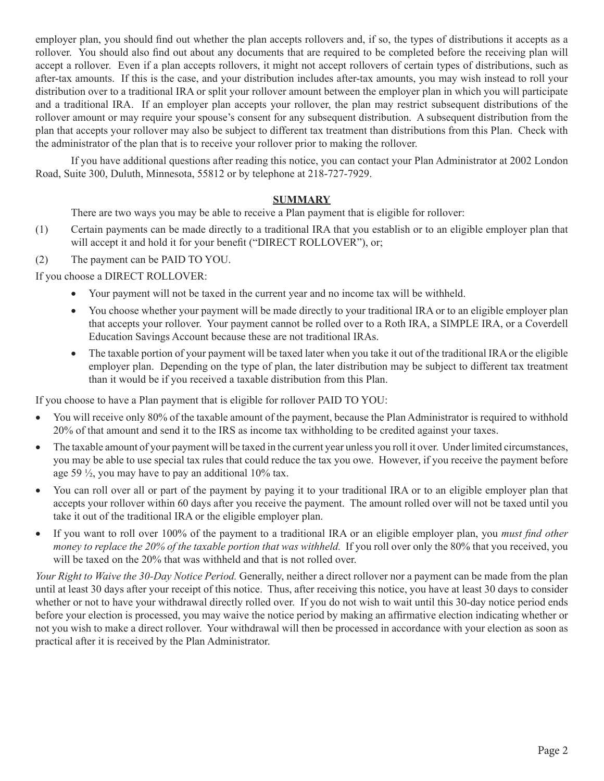employer plan, you should find out whether the plan accepts rollovers and, if so, the types of distributions it accepts as a rollover. You should also find out about any documents that are required to be completed before the receiving plan will accept a rollover. Even if a plan accepts rollovers, it might not accept rollovers of certain types of distributions, such as after-tax amounts. If this is the case, and your distribution includes after-tax amounts, you may wish instead to roll your distribution over to a traditional IRA or split your rollover amount between the employer plan in which you will participate and a traditional IRA. If an employer plan accepts your rollover, the plan may restrict subsequent distributions of the rollover amount or may require your spouse's consent for any subsequent distribution. A subsequent distribution from the plan that accepts your rollover may also be subject to different tax treatment than distributions from this Plan. Check with the administrator of the plan that is to receive your rollover prior to making the rollover.

If you have additional questions after reading this notice, you can contact your Plan Administrator at 2002 London Road, Suite 300, Duluth, Minnesota, 55812 or by telephone at 218-727-7929.

### **SUMMARY**

There are two ways you may be able to receive a Plan payment that is eligible for rollover:

- (1) Certain payments can be made directly to a traditional IRA that you establish or to an eligible employer plan that will accept it and hold it for your benefit ("DIRECT ROLLOVER"), or;
- (2) The payment can be PAID TO YOU.

If you choose a DIRECT ROLLOVER:

- Your payment will not be taxed in the current year and no income tax will be withheld.
- You choose whether your payment will be made directly to your traditional IRA or to an eligible employer plan that accepts your rollover. Your payment cannot be rolled over to a Roth IRA, a SIMPLE IRA, or a Coverdell Education Savings Account because these are not traditional IRAs.
- The taxable portion of your payment will be taxed later when you take it out of the traditional IRA or the eligible employer plan. Depending on the type of plan, the later distribution may be subject to different tax treatment than it would be if you received a taxable distribution from this Plan.

If you choose to have a Plan payment that is eligible for rollover PAID TO YOU:

- You will receive only 80% of the taxable amount of the payment, because the Plan Administrator is required to withhold 20% of that amount and send it to the IRS as income tax withholding to be credited against your taxes.
- The taxable amount of your payment will be taxed in the current year unless you roll it over. Under limited circumstances, you may be able to use special tax rules that could reduce the tax you owe. However, if you receive the payment before age 59  $\frac{1}{2}$ , you may have to pay an additional 10% tax.
- You can roll over all or part of the payment by paying it to your traditional IRA or to an eligible employer plan that accepts your rollover within 60 days after you receive the payment. The amount rolled over will not be taxed until you take it out of the traditional IRA or the eligible employer plan.
- If you want to roll over 100% of the payment to a traditional IRA or an eligible employer plan, you *must find other money to replace the 20% of the taxable portion that was withheld.* If you roll over only the 80% that you received, you will be taxed on the 20% that was withheld and that is not rolled over.

*Your Right to Waive the 30-Day Notice Period.* Generally, neither a direct rollover nor a payment can be made from the plan until at least 30 days after your receipt of this notice. Thus, after receiving this notice, you have at least 30 days to consider whether or not to have your withdrawal directly rolled over. If you do not wish to wait until this 30-day notice period ends before your election is processed, you may waive the notice period by making an affirmative election indicating whether or not you wish to make a direct rollover. Your withdrawal will then be processed in accordance with your election as soon as practical after it is received by the Plan Administrator.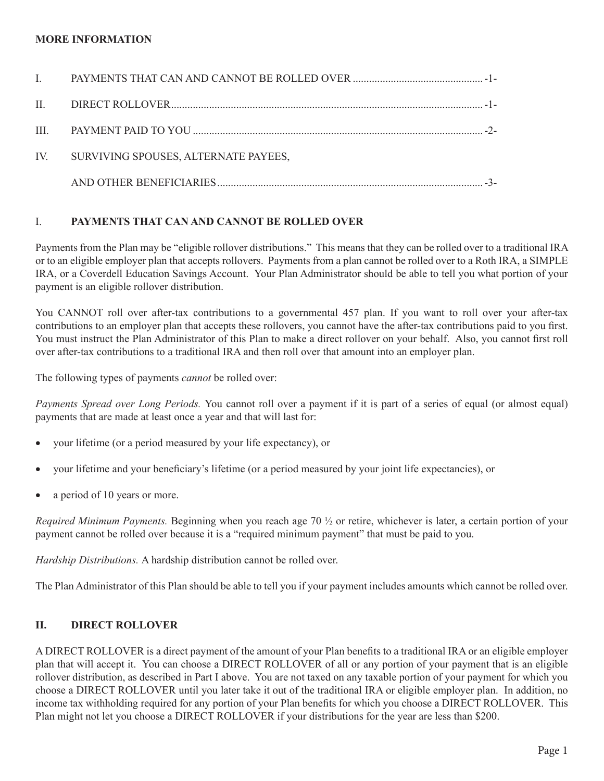#### **MORE INFORMATION**

| $\mathbf{I}$ |                                                                                                                                                                                                                                                                                                                                   |  |
|--------------|-----------------------------------------------------------------------------------------------------------------------------------------------------------------------------------------------------------------------------------------------------------------------------------------------------------------------------------|--|
|              |                                                                                                                                                                                                                                                                                                                                   |  |
|              | III. PAYMENT PAID TO YOU $\ldots$ $\ldots$ $\ldots$ $\ldots$ $\ldots$ $\ldots$ $\ldots$ $\ldots$ $\ldots$ $\ldots$ $\ldots$ $\ldots$ $\ldots$ $\ldots$ $\ldots$ $\ldots$ $\ldots$ $\ldots$ $\ldots$ $\ldots$ $\ldots$ $\ldots$ $\ldots$ $\ldots$ $\ldots$ $\ldots$ $\ldots$ $\ldots$ $\ldots$ $\ldots$ $\ldots$ $\ldots$ $\ldots$ |  |
|              | IV. SURVIVING SPOUSES, ALTERNATE PAYEES,                                                                                                                                                                                                                                                                                          |  |
|              |                                                                                                                                                                                                                                                                                                                                   |  |

### I. **PAYMENTS THAT CAN AND CANNOT BE ROLLED OVER**

Payments from the Plan may be "eligible rollover distributions." This means that they can be rolled over to a traditional IRA or to an eligible employer plan that accepts rollovers. Payments from a plan cannot be rolled over to a Roth IRA, a SIMPLE IRA, or a Coverdell Education Savings Account. Your Plan Administrator should be able to tell you what portion of your payment is an eligible rollover distribution.

You CANNOT roll over after-tax contributions to a governmental 457 plan. If you want to roll over your after-tax contributions to an employer plan that accepts these rollovers, you cannot have the after-tax contributions paid to you first. You must instruct the Plan Administrator of this Plan to make a direct rollover on your behalf. Also, you cannot first roll over after-tax contributions to a traditional IRA and then roll over that amount into an employer plan.

The following types of payments *cannot* be rolled over:

*Payments Spread over Long Periods.* You cannot roll over a payment if it is part of a series of equal (or almost equal) payments that are made at least once a year and that will last for:

- your lifetime (or a period measured by your life expectancy), or
- your lifetime and your beneficiary's lifetime (or a period measured by your joint life expectancies), or
- a period of 10 years or more.

*Required Minimum Payments.* Beginning when you reach age 70 ½ or retire, whichever is later, a certain portion of your payment cannot be rolled over because it is a "required minimum payment" that must be paid to you.

*Hardship Distributions.* A hardship distribution cannot be rolled over.

The Plan Administrator of this Plan should be able to tell you if your payment includes amounts which cannot be rolled over.

#### **II. DIRECT ROLLOVER**

A DIRECT ROLLOVER is a direct payment of the amount of your Plan benefits to a traditional IRA or an eligible employer plan that will accept it. You can choose a DIRECT ROLLOVER of all or any portion of your payment that is an eligible rollover distribution, as described in Part I above. You are not taxed on any taxable portion of your payment for which you choose a DIRECT ROLLOVER until you later take it out of the traditional IRA or eligible employer plan. In addition, no income tax withholding required for any portion of your Plan benefits for which you choose a DIRECT ROLLOVER. This Plan might not let you choose a DIRECT ROLLOVER if your distributions for the year are less than \$200.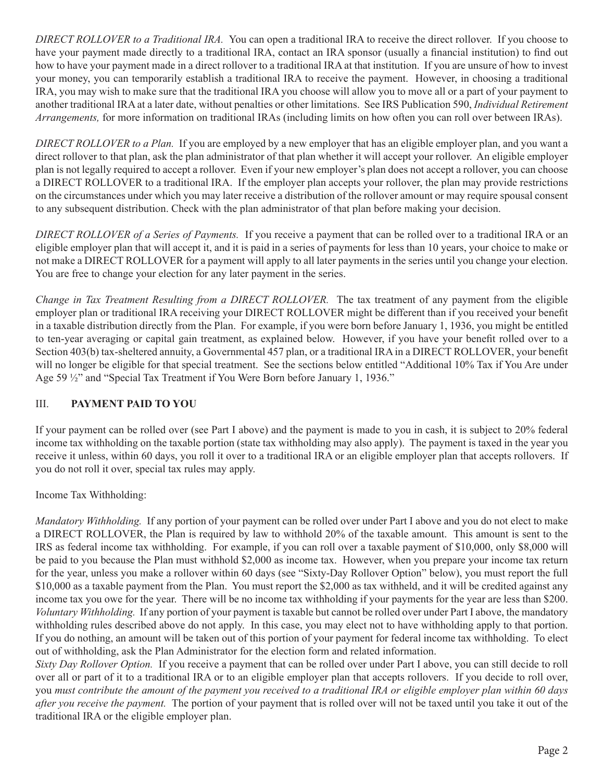*DIRECT ROLLOVER to a Traditional IRA.* You can open a traditional IRA to receive the direct rollover. If you choose to have your payment made directly to a traditional IRA, contact an IRA sponsor (usually a financial institution) to find out how to have your payment made in a direct rollover to a traditional IRA at that institution. If you are unsure of how to invest your money, you can temporarily establish a traditional IRA to receive the payment. However, in choosing a traditional IRA, you may wish to make sure that the traditional IRA you choose will allow you to move all or a part of your payment to another traditional IRA at a later date, without penalties or other limitations. See IRS Publication 590, *Individual Retirement Arrangements,* for more information on traditional IRAs (including limits on how often you can roll over between IRAs).

*DIRECT ROLLOVER to a Plan.* If you are employed by a new employer that has an eligible employer plan, and you want a direct rollover to that plan, ask the plan administrator of that plan whether it will accept your rollover. An eligible employer plan is not legally required to accept a rollover. Even if your new employer's plan does not accept a rollover, you can choose a DIRECT ROLLOVER to a traditional IRA. If the employer plan accepts your rollover, the plan may provide restrictions on the circumstances under which you may later receive a distribution of the rollover amount or may require spousal consent to any subsequent distribution. Check with the plan administrator of that plan before making your decision.

*DIRECT ROLLOVER of a Series of Payments.* If you receive a payment that can be rolled over to a traditional IRA or an eligible employer plan that will accept it, and it is paid in a series of payments for less than 10 years, your choice to make or not make a DIRECT ROLLOVER for a payment will apply to all later payments in the series until you change your election. You are free to change your election for any later payment in the series.

*Change in Tax Treatment Resulting from a DIRECT ROLLOVER.* The tax treatment of any payment from the eligible employer plan or traditional IRA receiving your DIRECT ROLLOVER might be different than if you received your benefit in a taxable distribution directly from the Plan. For example, if you were born before January 1, 1936, you might be entitled to ten-year averaging or capital gain treatment, as explained below. However, if you have your benefit rolled over to a Section 403(b) tax-sheltered annuity, a Governmental 457 plan, or a traditional IRA in a DIRECT ROLLOVER, your benefit will no longer be eligible for that special treatment. See the sections below entitled "Additional 10% Tax if You Are under Age 59 ½" and "Special Tax Treatment if You Were Born before January 1, 1936."

## III. **PAYMENT PAID TO YOU**

If your payment can be rolled over (see Part I above) and the payment is made to you in cash, it is subject to 20% federal income tax withholding on the taxable portion (state tax withholding may also apply). The payment is taxed in the year you receive it unless, within 60 days, you roll it over to a traditional IRA or an eligible employer plan that accepts rollovers. If you do not roll it over, special tax rules may apply.

Income Tax Withholding:

*Mandatory Withholding.* If any portion of your payment can be rolled over under Part I above and you do not elect to make a DIRECT ROLLOVER, the Plan is required by law to withhold 20% of the taxable amount. This amount is sent to the IRS as federal income tax withholding. For example, if you can roll over a taxable payment of \$10,000, only \$8,000 will be paid to you because the Plan must withhold \$2,000 as income tax. However, when you prepare your income tax return for the year, unless you make a rollover within 60 days (see "Sixty-Day Rollover Option" below), you must report the full \$10,000 as a taxable payment from the Plan. You must report the \$2,000 as tax withheld, and it will be credited against any income tax you owe for the year. There will be no income tax withholding if your payments for the year are less than \$200. *Voluntary Withholding.* If any portion of your payment is taxable but cannot be rolled over under Part I above, the mandatory withholding rules described above do not apply. In this case, you may elect not to have withholding apply to that portion. If you do nothing, an amount will be taken out of this portion of your payment for federal income tax withholding. To elect out of withholding, ask the Plan Administrator for the election form and related information.

*Sixty Day Rollover Option.* If you receive a payment that can be rolled over under Part I above, you can still decide to roll over all or part of it to a traditional IRA or to an eligible employer plan that accepts rollovers. If you decide to roll over, you *must contribute the amount of the payment you received to a traditional IRA or eligible employer plan within 60 days after you receive the payment.* The portion of your payment that is rolled over will not be taxed until you take it out of the traditional IRA or the eligible employer plan.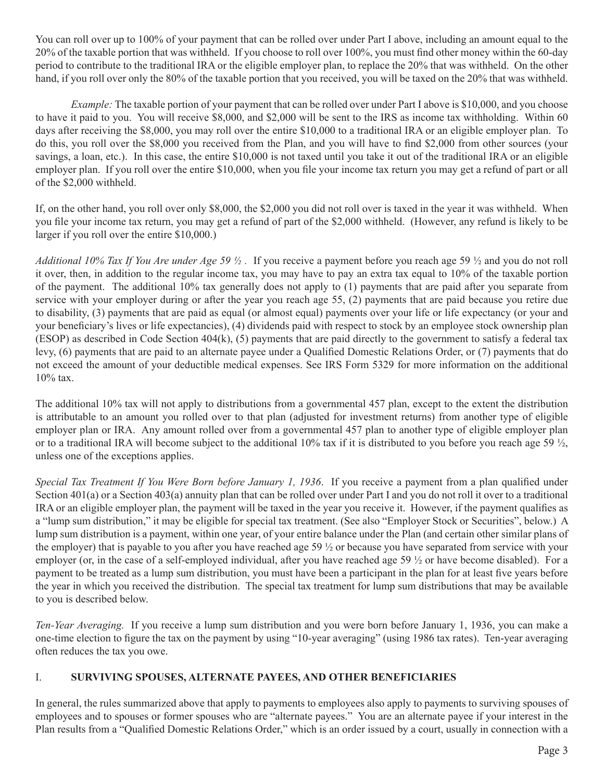You can roll over up to 100% of your payment that can be rolled over under Part I above, including an amount equal to the 20% of the taxable portion that was withheld. If you choose to roll over 100%, you must find other money within the 60-day period to contribute to the traditional IRA or the eligible employer plan, to replace the 20% that was withheld. On the other hand, if you roll over only the 80% of the taxable portion that you received, you will be taxed on the 20% that was withheld.

*Example:* The taxable portion of your payment that can be rolled over under Part I above is \$10,000, and you choose to have it paid to you. You will receive \$8,000, and \$2,000 will be sent to the IRS as income tax withholding. Within 60 days after receiving the \$8,000, you may roll over the entire \$10,000 to a traditional IRA or an eligible employer plan. To do this, you roll over the \$8,000 you received from the Plan, and you will have to find \$2,000 from other sources (your savings, a loan, etc.). In this case, the entire \$10,000 is not taxed until you take it out of the traditional IRA or an eligible employer plan. If you roll over the entire \$10,000, when you file your income tax return you may get a refund of part or all of the \$2,000 withheld.

If, on the other hand, you roll over only \$8,000, the \$2,000 you did not roll over is taxed in the year it was withheld. When you file your income tax return, you may get a refund of part of the \$2,000 withheld. (However, any refund is likely to be larger if you roll over the entire \$10,000.)

*Additional 10% Tax If You Are under Age 59 ½ .* If you receive a payment before you reach age 59 ½ and you do not roll it over, then, in addition to the regular income tax, you may have to pay an extra tax equal to 10% of the taxable portion of the payment. The additional 10% tax generally does not apply to (1) payments that are paid after you separate from service with your employer during or after the year you reach age 55, (2) payments that are paid because you retire due to disability, (3) payments that are paid as equal (or almost equal) payments over your life or life expectancy (or your and your beneficiary's lives or life expectancies), (4) dividends paid with respect to stock by an employee stock ownership plan (ESOP) as described in Code Section  $404(k)$ , (5) payments that are paid directly to the government to satisfy a federal tax levy, (6) payments that are paid to an alternate payee under a Qualified Domestic Relations Order, or (7) payments that do not exceed the amount of your deductible medical expenses. See IRS Form 5329 for more information on the additional 10% tax.

The additional 10% tax will not apply to distributions from a governmental 457 plan, except to the extent the distribution is attributable to an amount you rolled over to that plan (adjusted for investment returns) from another type of eligible employer plan or IRA. Any amount rolled over from a governmental 457 plan to another type of eligible employer plan or to a traditional IRA will become subject to the additional 10% tax if it is distributed to you before you reach age 59  $\frac{1}{2}$ , unless one of the exceptions applies.

*Special Tax Treatment If You Were Born before January 1, 1936*. If you receive a payment from a plan qualified under Section 401(a) or a Section 403(a) annuity plan that can be rolled over under Part I and you do not roll it over to a traditional IRA or an eligible employer plan, the payment will be taxed in the year you receive it. However, if the payment qualifies as a "lump sum distribution," it may be eligible for special tax treatment. (See also "Employer Stock or Securities", below.) A lump sum distribution is a payment, within one year, of your entire balance under the Plan (and certain other similar plans of the employer) that is payable to you after you have reached age 59 ½ or because you have separated from service with your employer (or, in the case of a self-employed individual, after you have reached age 59  $\frac{1}{2}$  or have become disabled). For a payment to be treated as a lump sum distribution, you must have been a participant in the plan for at least five years before the year in which you received the distribution. The special tax treatment for lump sum distributions that may be available to you is described below.

*Ten-Year Averaging.* If you receive a lump sum distribution and you were born before January 1, 1936, you can make a one-time election to figure the tax on the payment by using "10-year averaging" (using 1986 tax rates). Ten-year averaging often reduces the tax you owe.

## I. **SURVIVING SPOUSES, ALTERNATE PAYEES, AND OTHER BENEFICIARIES**

In general, the rules summarized above that apply to payments to employees also apply to payments to surviving spouses of employees and to spouses or former spouses who are "alternate payees." You are an alternate payee if your interest in the Plan results from a "Qualified Domestic Relations Order," which is an order issued by a court, usually in connection with a